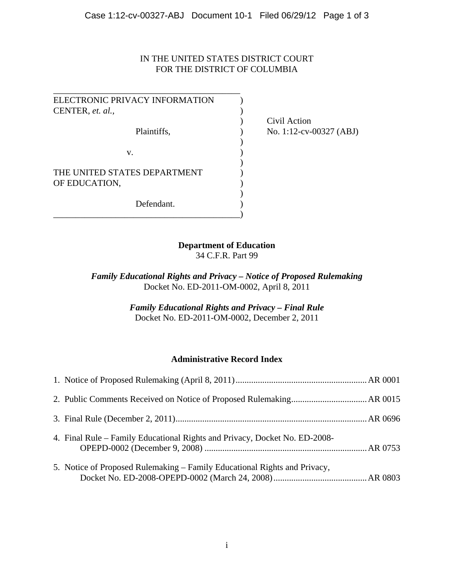## IN THE UNITED STATES DISTRICT COURT FOR THE DISTRICT OF COLUMBIA

| ELECTRONIC PRIVACY INFORMATION |  |
|--------------------------------|--|
| CENTER, et. al.,               |  |
|                                |  |
| Plaintiffs,                    |  |
|                                |  |
| v.                             |  |
|                                |  |
| THE UNITED STATES DEPARTMENT   |  |
| OF EDUCATION,                  |  |
|                                |  |
| Defendant.                     |  |
|                                |  |
|                                |  |

 ) Civil Action  $P$  No. 1:12-cv-00327 (ABJ)

## **Department of Education**

34 C.F.R. Part 99

*Family Educational Rights and Privacy – Notice of Proposed Rulemaking*  Docket No. ED-2011-OM-0002, April 8, 2011

> *Family Educational Rights and Privacy – Final Rule*  Docket No. ED-2011-OM-0002, December 2, 2011

## **Administrative Record Index**

| 4. Final Rule – Family Educational Rights and Privacy, Docket No. ED-2008- |  |
|----------------------------------------------------------------------------|--|
| 5. Notice of Proposed Rulemaking – Family Educational Rights and Privacy,  |  |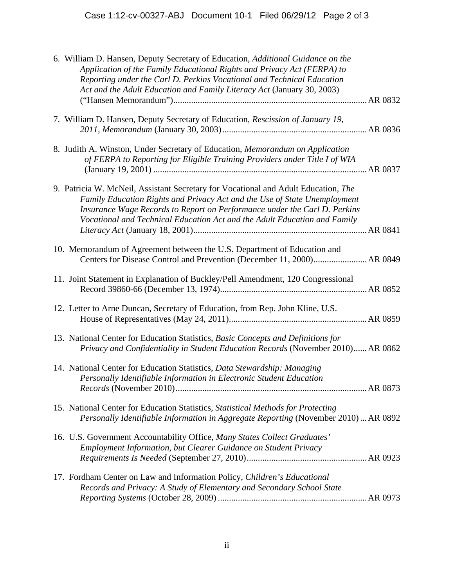| 6. William D. Hansen, Deputy Secretary of Education, Additional Guidance on the<br>Application of the Family Educational Rights and Privacy Act (FERPA) to<br>Reporting under the Carl D. Perkins Vocational and Technical Education<br>Act and the Adult Education and Family Literacy Act (January 30, 2003)            |  |
|---------------------------------------------------------------------------------------------------------------------------------------------------------------------------------------------------------------------------------------------------------------------------------------------------------------------------|--|
|                                                                                                                                                                                                                                                                                                                           |  |
| 7. William D. Hansen, Deputy Secretary of Education, Rescission of January 19,                                                                                                                                                                                                                                            |  |
| 8. Judith A. Winston, Under Secretary of Education, Memorandum on Application<br>of FERPA to Reporting for Eligible Training Providers under Title I of WIA                                                                                                                                                               |  |
| 9. Patricia W. McNeil, Assistant Secretary for Vocational and Adult Education, The<br>Family Education Rights and Privacy Act and the Use of State Unemployment<br>Insurance Wage Records to Report on Performance under the Carl D. Perkins<br>Vocational and Technical Education Act and the Adult Education and Family |  |
| 10. Memorandum of Agreement between the U.S. Department of Education and                                                                                                                                                                                                                                                  |  |
| 11. Joint Statement in Explanation of Buckley/Pell Amendment, 120 Congressional                                                                                                                                                                                                                                           |  |
| 12. Letter to Arne Duncan, Secretary of Education, from Rep. John Kline, U.S.                                                                                                                                                                                                                                             |  |
| 13. National Center for Education Statistics, Basic Concepts and Definitions for<br>Privacy and Confidentiality in Student Education Records (November 2010) AR 0862                                                                                                                                                      |  |
| 14. National Center for Education Statistics, Data Stewardship: Managing<br>Personally Identifiable Information in Electronic Student Education                                                                                                                                                                           |  |
| 15. National Center for Education Statistics, Statistical Methods for Protecting<br>Personally Identifiable Information in Aggregate Reporting (November 2010)  AR 0892                                                                                                                                                   |  |
| 16. U.S. Government Accountability Office, Many States Collect Graduates'<br>Employment Information, but Clearer Guidance on Student Privacy                                                                                                                                                                              |  |
| 17. Fordham Center on Law and Information Policy, Children's Educational<br>Records and Privacy: A Study of Elementary and Secondary School State                                                                                                                                                                         |  |